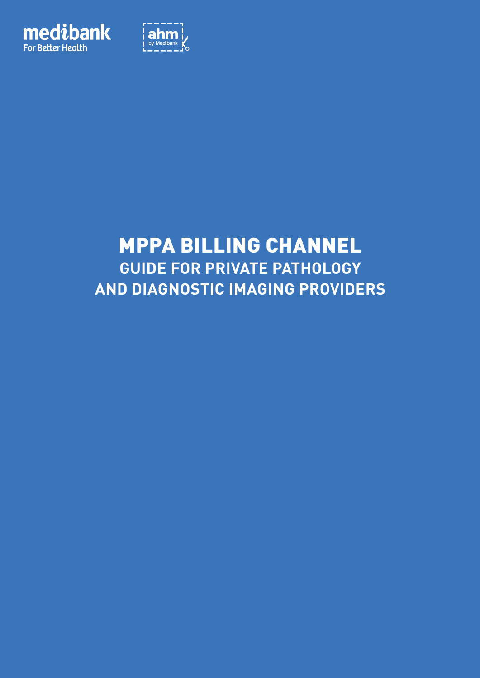



# MPPA Billing Channel **Guide for Private Pathology and Diagnostic Imaging Providers**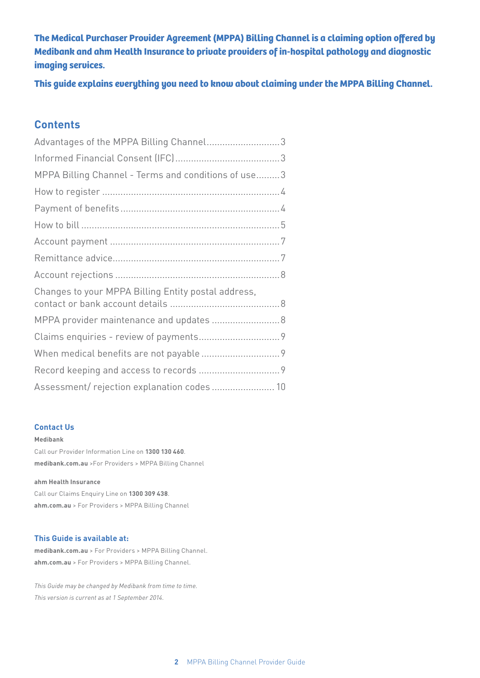**The Medical Purchaser Provider Agreement (MPPA) Billing Channel is a claiming option offered by Medibank and ahm Health Insurance to private providers of in-hospital pathology and diagnostic imaging services.** 

**This guide explains everything you need to know about claiming under the MPPA Billing Channel.**

## **Contents**

| Advantages of the MPPA Billing Channel3             |  |
|-----------------------------------------------------|--|
|                                                     |  |
| MPPA Billing Channel - Terms and conditions of use3 |  |
|                                                     |  |
|                                                     |  |
|                                                     |  |
|                                                     |  |
|                                                     |  |
|                                                     |  |
| Changes to your MPPA Billing Entity postal address, |  |
| MPPA provider maintenance and updates  8            |  |
|                                                     |  |
|                                                     |  |
|                                                     |  |
| Assessment/rejection explanation codes  10          |  |

#### **Contact Us**

#### **Medibank**

Call our Provider Information Line on **1300 130 460**. **medibank.com.au** >For Providers > MPPA Billing Channel

#### **ahm Health Insurance**

Call our Claims Enquiry Line on **1300 309 438**. **ahm.com.au** > For Providers > MPPA Billing Channel

#### **This Guide is available at:**

**medibank.com.au** > For Providers > MPPA Billing Channel. **ahm.com.au** > For Providers > MPPA Billing Channel.

*This Guide may be changed by Medibank from time to time. This version is current as at 1 September 2014.*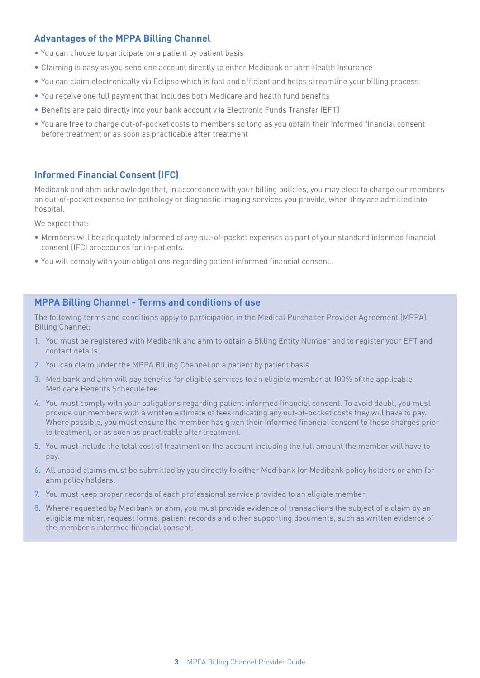## **Advantages of the MPPA Billing Channel**

- You can choose to participate on a patient by patient basis
- Claiming is easy as you send one account directly to either Medibank or ahm Health Insurance
- You can claim electronically via Eclipse which is fast and efficient and helps streamline your billing process
- You receive one full payment that includes both Medicare and health fund benefits
- Benefits are paid directly into your bank account v ia Electronic Funds Transfer (EFT)
- You are free to charge out-of-pocket costs to members so long as you obtain their informed financial consent before treatment or as soon as practicable after treatment

## **Informed Financial Consent (IFC)**

Medibank and ahm acknowledge that, in accordance with your billing policies, you may elect to charge our members an out-of-pocket expense for pathology or diagnostic imaging services you provide, when they are admitted into hospital.

We expect that:

- Members will be adequately informed of any out-of-pocket expenses as part of your standard informed financial consent (IFC) procedures for in-patients.
- You will comply with your obligations regarding patient informed financial consent.

### **MPPA Billing Channel - Terms and conditions of use**

The following terms and conditions apply to participation in the Medical Purchaser Provider Agreement (MPPA) Billing Channel:

- 1. You must be registered with Medibank and ahm to obtain a Billing Entity Number and to register your EFT and contact details.
- 2. You can claim under the MPPA Billing Channel on a patient by patient basis.
- 3. Medibank and ahm will pay benefits for eligible services to an eligible member at 100% of the applicable Medicare Benefits Schedule fee.
- 4. You must comply with your obligations regarding patient informed financial consent. To avoid doubt, you must provide our members with a written estimate of fees indicating any out-of-pocket costs they will have to pay. Where possible, you must ensure the member has given their informed financial consent to these charges prior to treatment, or as soon as practicable after treatment.
- 5. You must include the total cost of treatment on the account including the full amount the member will have to pay.
- 6. All unpaid claims must be submitted by you directly to either Medibank for Medibank policy holders or ahm for ahm policy holders.
- 7. You must keep proper records of each professional service provided to an eligible member.
- 8. Where requested by Medibank or ahm, you must provide evidence of transactions the subject of a claim by an eligible member, request forms, patient records and other supporting documents, such as written evidence of the member's informed financial consent.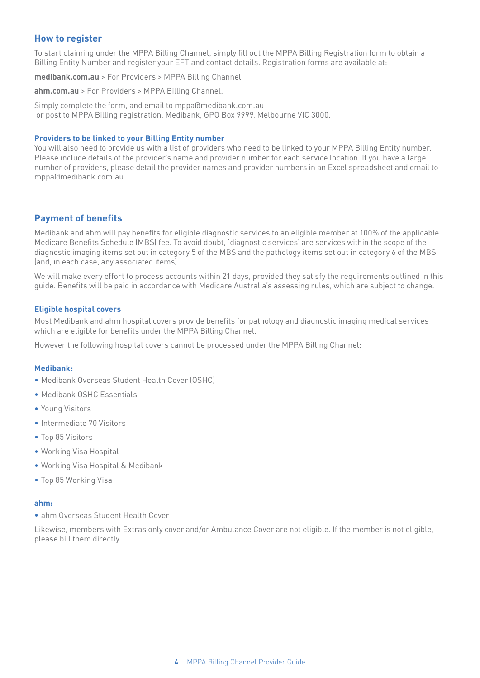## **How to register**

To start claiming under the MPPA Billing Channel, simply fill out the MPPA Billing Registration form to obtain a Billing Entity Number and register your EFT and contact details. Registration forms are available at:

**medibank.com.au** > For Providers > MPPA Billing Channel

**ahm.com.au** > For Providers > MPPA Billing Channel.

Simply complete the form, and email to mppa@medibank.com.au or post to MPPA Billing registration, Medibank, GPO Box 9999, Melbourne VIC 3000.

#### **Providers to be linked to your Billing Entity number**

You will also need to provide us with a list of providers who need to be linked to your MPPA Billing Entity number. Please include details of the provider's name and provider number for each service location. If you have a large number of providers, please detail the provider names and provider numbers in an Excel spreadsheet and email to mppa@medibank.com.au.

### **Payment of benefits**

Medibank and ahm will pay benefits for eligible diagnostic services to an eligible member at 100% of the applicable Medicare Benefits Schedule (MBS) fee. To avoid doubt, 'diagnostic services' are services within the scope of the diagnostic imaging items set out in category 5 of the MBS and the pathology items set out in category 6 of the MBS (and, in each case, any associated items).

We will make every effort to process accounts within 21 days, provided they satisfy the requirements outlined in this guide. Benefits will be paid in accordance with Medicare Australia's assessing rules, which are subject to change.

#### **Eligible hospital covers**

Most Medibank and ahm hospital covers provide benefits for pathology and diagnostic imaging medical services which are eligible for benefits under the MPPA Billing Channel.

However the following hospital covers cannot be processed under the MPPA Billing Channel:

#### **Medibank:**

- Medibank Overseas Student Health Cover (OSHC)
- Medibank OSHC Essentials
- Young Visitors
- Intermediate 70 Visitors
- Top 85 Visitors
- Working Visa Hospital
- Working Visa Hospital & Medibank
- Top 85 Working Visa

#### **ahm:**

• ahm Overseas Student Health Cover

Likewise, members with Extras only cover and/or Ambulance Cover are not eligible. If the member is not eligible, please bill them directly.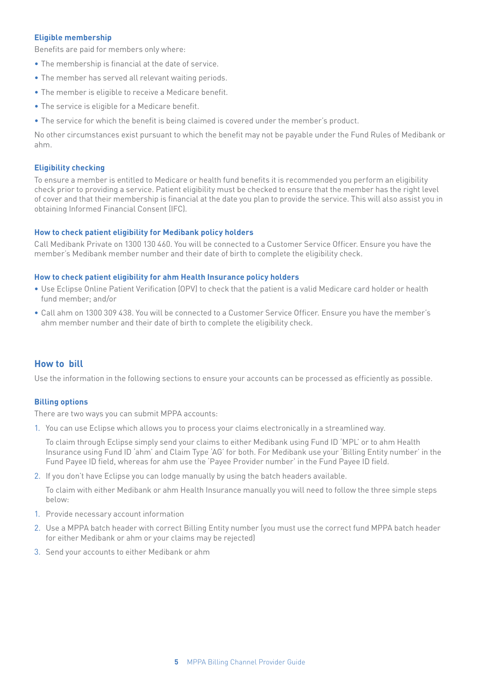#### **Eligible membership**

Benefits are paid for members only where:

- The membership is financial at the date of service.
- The member has served all relevant waiting periods.
- The member is eligible to receive a Medicare benefit.
- The service is eligible for a Medicare benefit.
- The service for which the benefit is being claimed is covered under the member's product.

No other circumstances exist pursuant to which the benefit may not be payable under the Fund Rules of Medibank or ahm.

#### **Eligibility checking**

To ensure a member is entitled to Medicare or health fund benefits it is recommended you perform an eligibility check prior to providing a service. Patient eligibility must be checked to ensure that the member has the right level of cover and that their membership is financial at the date you plan to provide the service. This will also assist you in obtaining Informed Financial Consent (IFC).

#### **How to check patient eligibility for Medibank policy holders**

Call Medibank Private on 1300 130 460. You will be connected to a Customer Service Officer. Ensure you have the member's Medibank member number and their date of birth to complete the eligibility check.

#### **How to check patient eligibility for ahm Health Insurance policy holders**

- Use Eclipse Online Patient Verification (OPV) to check that the patient is a valid Medicare card holder or health fund member; and/or
- Call ahm on 1300 309 438. You will be connected to a Customer Service Officer. Ensure you have the member's ahm member number and their date of birth to complete the eligibility check.

#### **How to bill**

Use the information in the following sections to ensure your accounts can be processed as efficiently as possible.

#### **Billing options**

There are two ways you can submit MPPA accounts:

1. You can use Eclipse which allows you to process your claims electronically in a streamlined way.

To claim through Eclipse simply send your claims to either Medibank using Fund ID 'MPL' or to ahm Health Insurance using Fund ID 'ahm' and Claim Type 'AG' for both. For Medibank use your 'Billing Entity number' in the Fund Payee ID field, whereas for ahm use the 'Payee Provider number' in the Fund Payee ID field.

2. If you don't have Eclipse you can lodge manually by using the batch headers available.

To claim with either Medibank or ahm Health Insurance manually you will need to follow the three simple steps below:

- 1. Provide necessary account information
- 2. Use a MPPA batch header with correct Billing Entity number (you must use the correct fund MPPA batch header for either Medibank or ahm or your claims may be rejected)
- 3. Send your accounts to either Medibank or ahm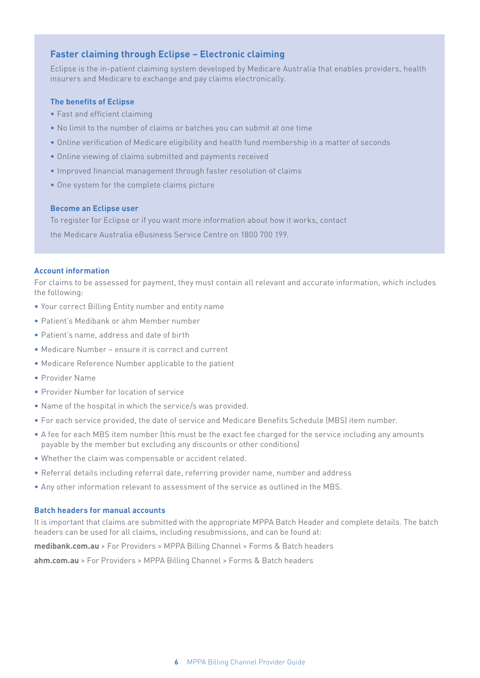## **Faster claiming through Eclipse – Electronic claiming**

Eclipse is the in-patient claiming system developed by Medicare Australia that enables providers, health insurers and Medicare to exchange and pay claims electronically.

#### **The benefits of Eclipse**

- Fast and efficient claiming
- No limit to the number of claims or batches you can submit at one time
- Online verification of Medicare eligibility and health fund membership in a matter of seconds
- Online viewing of claims submitted and payments received
- Improved financial management through faster resolution of claims
- One system for the complete claims picture

#### **Become an Eclipse user**

To register for Eclipse or if you want more information about how it works, contact the Medicare Australia eBusiness Service Centre on 1800 700 199.

#### **Account information**

For claims to be assessed for payment, they must contain all relevant and accurate information, which includes the following:

- Your correct Billing Entity number and entity name
- Patient's Medibank or ahm Member number
- Patient's name, address and date of birth
- Medicare Number ensure it is correct and current
- Medicare Reference Number applicable to the patient
- Provider Name
- Provider Number for location of service
- Name of the hospital in which the service/s was provided.
- For each service provided, the date of service and Medicare Benefits Schedule (MBS) item number.
- A fee for each MBS item number (this must be the exact fee charged for the service including any amounts payable by the member but excluding any discounts or other conditions)
- Whether the claim was compensable or accident related.
- Referral details including referral date, referring provider name, number and address
- Any other information relevant to assessment of the service as outlined in the MBS.

#### **Batch headers for manual accounts**

It is important that claims are submitted with the appropriate MPPA Batch Header and complete details. The batch headers can be used for all claims, including resubmissions, and can be found at:

**medibank.com.au** > For Providers > MPPA Billing Channel > Forms & Batch headers

**ahm.com.au** > For Providers > MPPA Billing Channel > Forms & Batch headers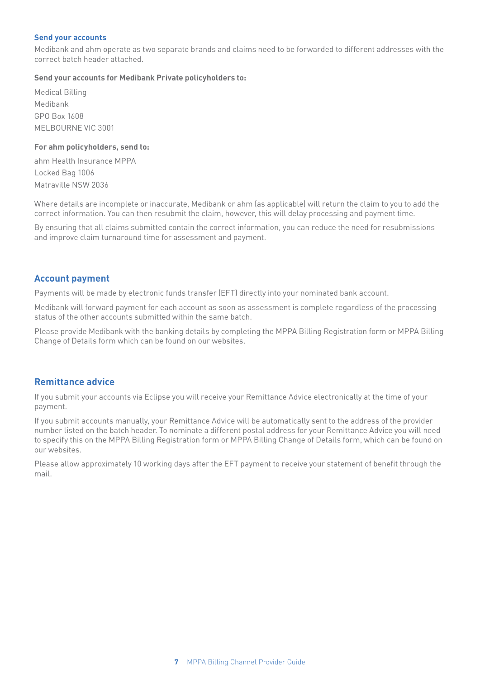#### **Send your accounts**

Medibank and ahm operate as two separate brands and claims need to be forwarded to different addresses with the correct batch header attached.

#### **Send your accounts for Medibank Private policyholders to:**

Medical Billing Medibank GPO Box 1608 MELBOURNE VIC 3001

#### **For ahm policyholders, send to:**

ahm Health Insurance MPPA Locked Bag 1006 Matraville NSW 2036

Where details are incomplete or inaccurate, Medibank or ahm (as applicable) will return the claim to you to add the correct information. You can then resubmit the claim, however, this will delay processing and payment time.

By ensuring that all claims submitted contain the correct information, you can reduce the need for resubmissions and improve claim turnaround time for assessment and payment.

### **Account payment**

Payments will be made by electronic funds transfer (EFT) directly into your nominated bank account.

Medibank will forward payment for each account as soon as assessment is complete regardless of the processing status of the other accounts submitted within the same batch.

Please provide Medibank with the banking details by completing the MPPA Billing Registration form or MPPA Billing Change of Details form which can be found on our websites.

### **Remittance advice**

If you submit your accounts via Eclipse you will receive your Remittance Advice electronically at the time of your payment.

If you submit accounts manually, your Remittance Advice will be automatically sent to the address of the provider number listed on the batch header. To nominate a different postal address for your Remittance Advice you will need to specify this on the MPPA Billing Registration form or MPPA Billing Change of Details form, which can be found on our websites.

Please allow approximately 10 working days after the EFT payment to receive your statement of benefit through the mail.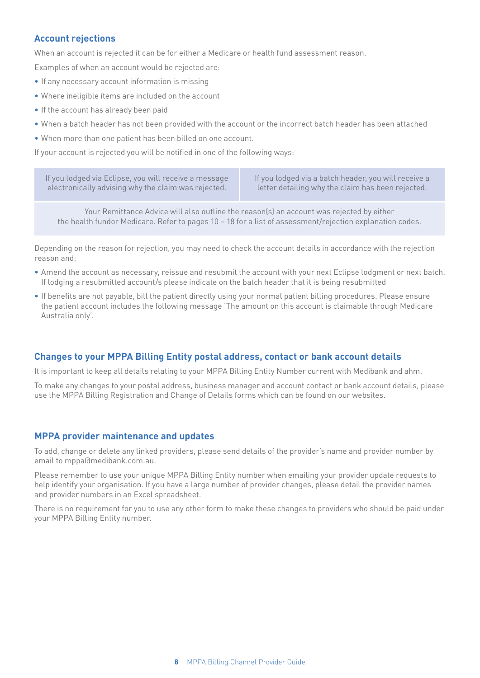## **Account rejections**

When an account is rejected it can be for either a Medicare or health fund assessment reason.

Examples of when an account would be rejected are:

- If any necessary account information is missing
- Where ineligible items are included on the account
- If the account has already been paid
- When a batch header has not been provided with the account or the incorrect batch header has been attached
- When more than one patient has been billed on one account.

If your account is rejected you will be notified in one of the following ways:

| If you lodged via Eclipse, you will receive a message $\not$ | If you lodged via a batch header, you will receive a |
|--------------------------------------------------------------|------------------------------------------------------|
| electronically advising why the claim was rejected.          | letter detailing why the claim has been rejected.    |

Your Remittance Advice will also outline the reason(s) an account was rejected by either the health fundor Medicare. Refer to pages 10 – 18 for a list of assessment/rejection explanation codes.

Depending on the reason for rejection, you may need to check the account details in accordance with the rejection reason and:

- Amend the account as necessary, reissue and resubmit the account with your next Eclipse lodgment or next batch. If lodging a resubmitted account/s please indicate on the batch header that it is being resubmitted
- If benefits are not payable, bill the patient directly using your normal patient billing procedures. Please ensure the patient account includes the following message 'The amount on this account is claimable through Medicare Australia only'.

## **Changes to your MPPA Billing Entity postal address, contact or bank account details**

It is important to keep all details relating to your MPPA Billing Entity Number current with Medibank and ahm.

To make any changes to your postal address, business manager and account contact or bank account details, please use the MPPA Billing Registration and Change of Details forms which can be found on our websites.

## **MPPA provider maintenance and updates**

To add, change or delete any linked providers, please send details of the provider's name and provider number by email to mppa@medibank.com.au.

Please remember to use your unique MPPA Billing Entity number when emailing your provider update requests to help identify your organisation. If you have a large number of provider changes, please detail the provider names and provider numbers in an Excel spreadsheet.

There is no requirement for you to use any other form to make these changes to providers who should be paid under your MPPA Billing Entity number.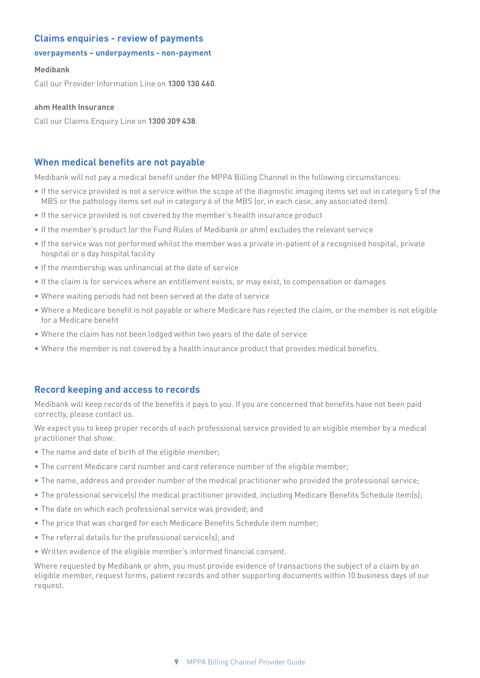### **Claims enquiries - review of payments**

#### **overpayments – underpayments - non-payment**

#### **Medibank**

Call our Provider Information Line on **1300 130 460**.

#### **ahm Health Insurance**

Call our Claims Enquiry Line on **1300 309 438**.

### **When medical benefits are not payable**

Medibank will not pay a medical benefit under the MPPA Billing Channel in the following circumstances:

- If the service provided is not a service within the scope of the diagnostic imaging items set out in category 5 of the MBS or the pathology items set out in category 6 of the MBS (or, in each case, any associated item).
- If the service provided is not covered by the member's health insurance product
- If the member's product (or the Fund Rules of Medibank or ahm) excludes the relevant service
- If the service was not performed whilst the member was a private in-patient of a recognised hospital, private hospital or a day hospital facility
- If the membership was unfinancial at the date of service
- If the claim is for services where an entitlement exists, or may exist, to compensation or damages
- Where waiting periods had not been served at the date of service
- Where a Medicare benefit is not payable or where Medicare has rejected the claim, or the member is not eligible for a Medicare benefit
- Where the claim has not been lodged within two years of the date of service
- Where the member is not covered by a health insurance product that provides medical benefits.

### **Record keeping and access to records**

Medibank will keep records of the benefits it pays to you. If you are concerned that benefits have not been paid correctly, please contact us.

We expect you to keep proper records of each professional service provided to an eligible member by a medical practitioner that show:

- The name and date of birth of the eligible member;
- The current Medicare card number and card reference number of the eligible member;
- The name, address and provider number of the medical practitioner who provided the professional service;
- The professional service(s) the medical practitioner provided, including Medicare Benefits Schedule item(s);
- The date on which each professional service was provided; and
- The price that was charged for each Medicare Benefits Schedule item number;
- The referral details for the professional service(s); and
- Written evidence of the eligible member's informed financial consent.

Where requested by Medibank or ahm, you must provide evidence of transactions the subject of a claim by an eligible member, request forms, patient records and other supporting documents within 10 business days of our request.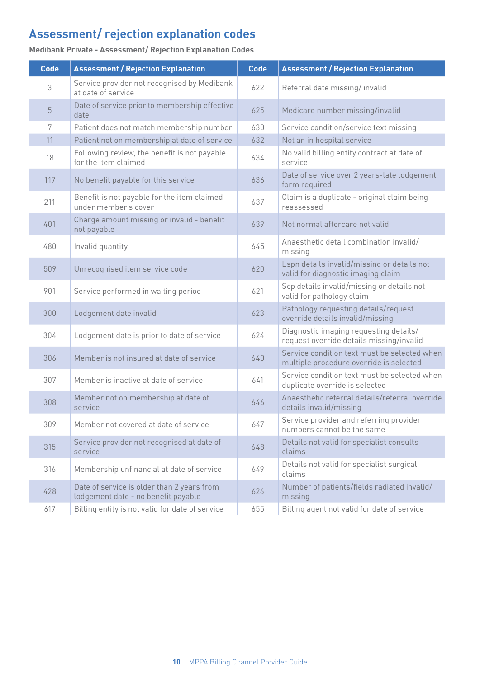# **Assessment/ rejection explanation codes**

| <b>Code</b> | <b>Assessment / Rejection Explanation</b>                                         | <b>Code</b> | <b>Assessment / Rejection Explanation</b>                                               |
|-------------|-----------------------------------------------------------------------------------|-------------|-----------------------------------------------------------------------------------------|
| 3           | Service provider not recognised by Medibank<br>at date of service                 | 622         | Referral date missing/invalid                                                           |
| 5           | Date of service prior to membership effective<br>date                             | 625         | Medicare number missing/invalid                                                         |
| 7           | Patient does not match membership number                                          | 630         | Service condition/service text missing                                                  |
| 11          | Patient not on membership at date of service                                      | 632         | Not an in hospital service                                                              |
| 18          | Following review, the benefit is not payable<br>for the item claimed              | 634         | No valid billing entity contract at date of<br>service                                  |
| 117         | No benefit payable for this service                                               | 636         | Date of service over 2 years-late lodgement<br>form required                            |
| 211         | Benefit is not payable for the item claimed<br>under member's cover               | 637         | Claim is a duplicate - original claim being<br>reassessed                               |
| 401         | Charge amount missing or invalid - benefit<br>not payable                         | 639         | Not normal aftercare not valid                                                          |
| 480         | Invalid quantity                                                                  | 645         | Anaesthetic detail combination invalid/<br>missing                                      |
| 509         | Unrecognised item service code                                                    | 620         | Lspn details invalid/missing or details not<br>valid for diagnostic imaging claim       |
| 901         | Service performed in waiting period                                               | 621         | Scp details invalid/missing or details not<br>valid for pathology claim                 |
| 300         | Lodgement date invalid                                                            | 623         | Pathology requesting details/request<br>override details invalid/missing                |
| 304         | Lodgement date is prior to date of service                                        | 624         | Diagnostic imaging requesting details/<br>request override details missing/invalid      |
| 306         | Member is not insured at date of service                                          | 640         | Service condition text must be selected when<br>multiple procedure override is selected |
| 307         | Member is inactive at date of service                                             | 641         | Service condition text must be selected when<br>duplicate override is selected          |
| 308         | Member not on membership at date of<br>service                                    | 646         | Anaesthetic referral details/referral override<br>details invalid/missing               |
| 309         | Member not covered at date of service                                             | 647         | Service provider and referring provider<br>numbers cannot be the same                   |
| 315         | Service provider not recognised at date of<br>service                             | 648         | Details not valid for specialist consults<br>claims                                     |
| 316         | Membership unfinancial at date of service                                         | 649         | Details not valid for specialist surgical<br>claims                                     |
| 428         | Date of service is older than 2 years from<br>lodgement date - no benefit payable | 626         | Number of patients/fields radiated invalid/<br>missing                                  |
| 617         | Billing entity is not valid for date of service                                   | 655         | Billing agent not valid for date of service                                             |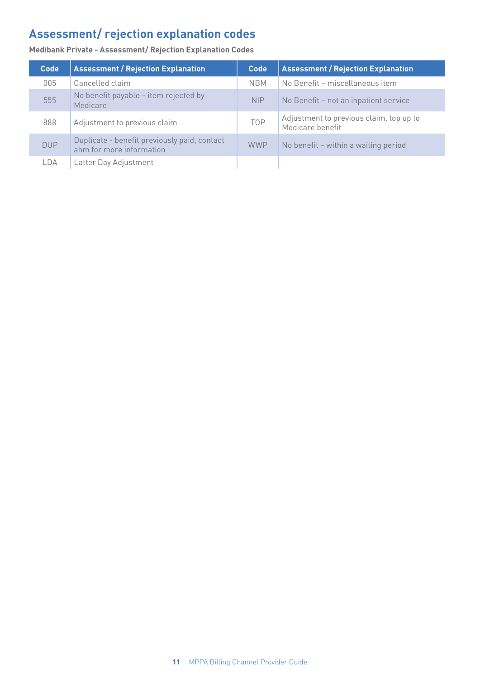# **Assessment/ rejection explanation codes**

| Code       | <b>Assessment / Rejection Explanation</b>                                | <b>Code</b> | <b>Assessment / Rejection Explanation</b>                   |
|------------|--------------------------------------------------------------------------|-------------|-------------------------------------------------------------|
| 005        | Cancelled claim                                                          | <b>NBM</b>  | No Benefit - miscellaneous item                             |
| 555        | No benefit payable - item rejected by<br>Medicare                        | <b>NIP</b>  | No Benefit – not an inpatient service                       |
| 888        | Adjustment to previous claim                                             | <b>TOP</b>  | Adjustment to previous claim, top up to<br>Medicare benefit |
| <b>DUP</b> | Duplicate - benefit previously paid, contact<br>ahm for more information | <b>WWP</b>  | No benefit – within a waiting period                        |
| LDA        | Latter Day Adjustment                                                    |             |                                                             |

**Medibank Private - Assessment/ Rejection Explanation Codes**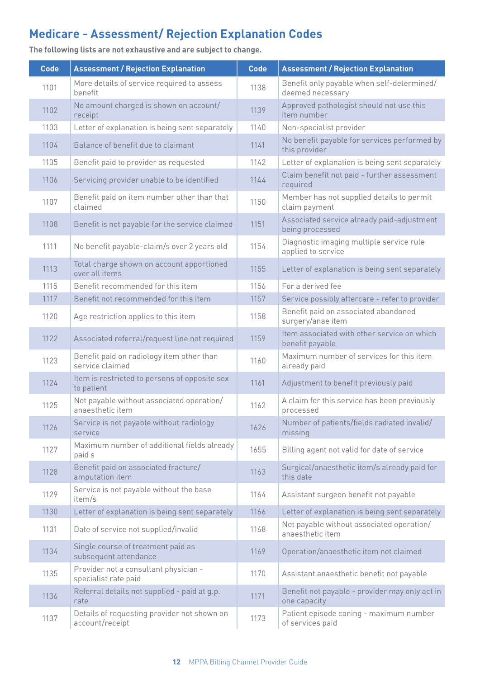**Code Assessment / Rejection Explanation Code Assessment / Rejection Explanation** 1101 More details of service required to assess<br>henefit 1138 Benefit only payable when self-determined/ deemed necessary 1102 No amount charged is shown on account/ 1139 Approved pathologist should not use this receipt item number 1103 | Letter of explanation is being sent separately | 1140 | Non-specialist provider 1104 Balance of benefit due to claimant 1141 No benefit payable for services performed by this provider 1105 Benefit paid to provider as requested 1142 Letter of explanation is being sent separately 1106 Servicing provider unable to be identified 1144 Claim benefit not paid - further assessment required 1107 Benefit paid on item number other than that<br>claimed 1150 Member has not supplied details to permit claim payment 1108 Benefit is not payable for the service claimed 1151 Associated service already paid-adjustment being processed 1111 No benefit payable-claim/s over 2 years old 1154 Diagnostic imaging multiple service rule applied to service 1113 Total charge shown on account apportioned<br>over all items 1155 Letter of explanation is being sent separately 1115 Benefit recommended for this item 1156 For a derived fee 1117 Benefit not recommended for this item 1157 Service possibly aftercare - refer to provider 1120 Age restriction applies to this item 1158 Benefit paid on associated abandoned surgery/anae item 1122 Associated referral/request line not required 1159 Item associated with other service on which benefit payable 1123 Benefit paid on radiology item other than 1160 Maximum number of services for this item<br>
service claimed<br> **1160** already paid already paid 1124 Item is restricted to persons of opposite sex<br>to patient 1161 Adjustment to benefit previously paid 1125 Not payable without associated operation/ 1162 A claim for this service has been previously<br>anaesthetic item processed 1126 Service is not payable without radiology<br>service 1626 Number of patients/fields radiated invalid/ missing 1127  $\bigcap_{\text{paid }s}$  Maximum number of additional fields already 1655 Billing agent not valid for date of service 1128 Benefit paid on associated fracture/<br>amputation item amputation is extended to item 1163 Surgical/anaesthetic item/s already paid for this date 1129 Service is not payable without the base<br>  $\frac{1}{2}$  item/s  $1164$  Assistant surgeon benefit not payable 1130 Letter of explanation is being sent separately 1166 Letter of explanation is being sent separately 1131 Date of service not supplied/invalid 1168 Not payable without associated operation/ anaesthetic item 1134 Single course of treatment paid as<br>subsequent attendance  $1169$  Operation/anaesthetic item not claimed 1135 Provider not a consultant physician -<br>specialist rate paid 1170 Assistant anaesthetic benefit not payable 1136 Referral details not supplied - paid at g.p.<br>rate 1171 Benefit not payable - provider may only act in one capacity 1137 Details of requesting provider not shown on 1173 Patient episode coning - maximum number<br>account/receipt discount of services paid

**The following lists are not exhaustive and are subject to change.** 

of services paid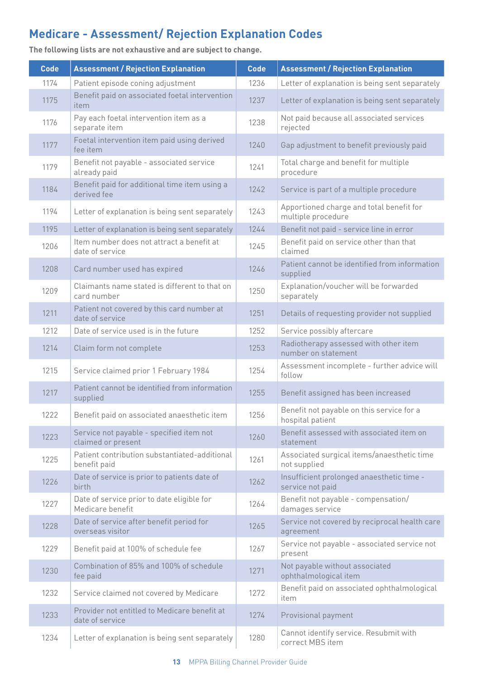| <b>Code</b> | <b>Assessment / Rejection Explanation</b>                       | <b>Code</b> | <b>Assessment / Rejection Explanation</b>                      |
|-------------|-----------------------------------------------------------------|-------------|----------------------------------------------------------------|
| 1174        | Patient episode coning adjustment                               | 1236        | Letter of explanation is being sent separately                 |
| 1175        | Benefit paid on associated foetal intervention<br>item          | 1237        | Letter of explanation is being sent separately                 |
| 1176        | Pay each foetal intervention item as a<br>separate item         | 1238        | Not paid because all associated services<br>rejected           |
| 1177        | Foetal intervention item paid using derived<br>fee item         | 1240        | Gap adjustment to benefit previously paid                      |
| 1179        | Benefit not payable - associated service<br>already paid        | 1241        | Total charge and benefit for multiple<br>procedure             |
| 1184        | Benefit paid for additional time item using a<br>derived fee    | 1242        | Service is part of a multiple procedure                        |
| 1194        | Letter of explanation is being sent separately                  | 1243        | Apportioned charge and total benefit for<br>multiple procedure |
| 1195        | Letter of explanation is being sent separately                  | 1244        | Benefit not paid - service line in error                       |
| 1206        | Item number does not attract a benefit at<br>date of service    | 1245        | Benefit paid on service other than that<br>claimed             |
| 1208        | Card number used has expired                                    | 1246        | Patient cannot be identified from information<br>supplied      |
| 1209        | Claimants name stated is different to that on<br>card number    | 1250        | Explanation/voucher will be forwarded<br>separately            |
| 1211        | Patient not covered by this card number at<br>date of service   | 1251        | Details of requesting provider not supplied                    |
| 1212        | Date of service used is in the future                           | 1252        | Service possibly aftercare                                     |
| 1214        | Claim form not complete                                         | 1253        | Radiotherapy assessed with other item<br>number on statement   |
| 1215        | Service claimed prior 1 February 1984                           | 1254        | Assessment incomplete - further advice will<br>follow          |
| 1217        | Patient cannot be identified from information<br>supplied       | 1255        | Benefit assigned has been increased                            |
| 1222        | Benefit paid on associated anaesthetic item                     | 1256        | Benefit not payable on this service for a<br>hospital patient  |
| 1223        | Service not payable - specified item not<br>claimed or present  | 1260        | Benefit assessed with associated item on<br>statement          |
| 1225        | Patient contribution substantiated-additional<br>benefit paid   | 1261        | Associated surgical items/anaesthetic time<br>not supplied     |
| 1226        | Date of service is prior to patients date of<br>birth           | 1262        | Insufficient prolonged anaesthetic time -<br>service not paid  |
| 1227        | Date of service prior to date eligible for<br>Medicare benefit  | 1264        | Benefit not payable - compensation/<br>damages service         |
| 1228        | Date of service after benefit period for<br>overseas visitor    | 1265        | Service not covered by reciprocal health care<br>agreement     |
| 1229        | Benefit paid at 100% of schedule fee                            | 1267        | Service not payable - associated service not<br>present        |
| 1230        | Combination of 85% and 100% of schedule<br>fee paid             | 1271        | Not payable without associated<br>ophthalmological item        |
| 1232        | Service claimed not covered by Medicare                         | 1272        | Benefit paid on associated ophthalmological<br>item            |
| 1233        | Provider not entitled to Medicare benefit at<br>date of service | 1274        | Provisional payment                                            |
| 1234        | Letter of explanation is being sent separately                  | 1280        | Cannot identify service. Resubmit with<br>correct MBS item     |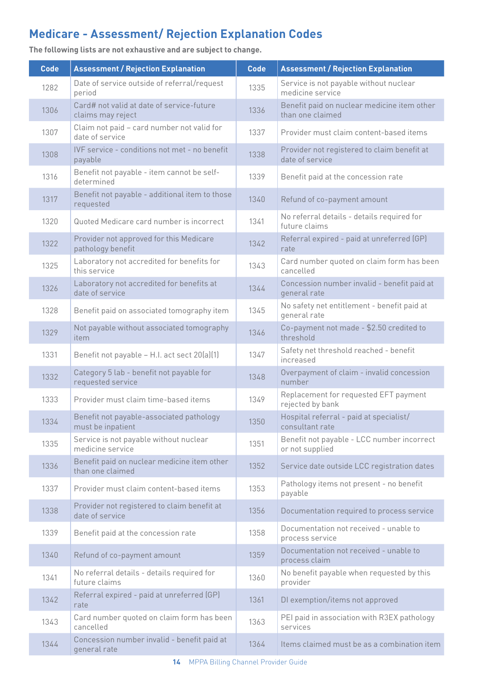| <b>Code</b> | <b>Assessment / Rejection Explanation</b>                       | <b>Code</b> | <b>Assessment / Rejection Explanation</b>                       |
|-------------|-----------------------------------------------------------------|-------------|-----------------------------------------------------------------|
| 1282        | Date of service outside of referral/request<br>period           | 1335        | Service is not payable without nuclear<br>medicine service      |
| 1306        | Card# not valid at date of service-future<br>claims may reject  |             | Benefit paid on nuclear medicine item other<br>than one claimed |
| 1307        | Claim not paid - card number not valid for<br>date of service   | 1337        | Provider must claim content-based items                         |
| 1308        | IVF service - conditions not met - no benefit<br>payable        | 1338        | Provider not registered to claim benefit at<br>date of service  |
| 1316        | Benefit not payable - item cannot be self-<br>determined        | 1339        | Benefit paid at the concession rate                             |
| 1317        | Benefit not payable - additional item to those<br>requested     | 1340        | Refund of co-payment amount                                     |
| 1320        | Quoted Medicare card number is incorrect                        | 1341        | No referral details - details required for<br>future claims     |
| 1322        | Provider not approved for this Medicare<br>pathology benefit    | 1342        | Referral expired - paid at unreferred (GP)<br>rate              |
| 1325        | Laboratory not accredited for benefits for<br>this service      | 1343        | Card number quoted on claim form has been<br>cancelled          |
| 1326        | Laboratory not accredited for benefits at<br>date of service    | 1344        | Concession number invalid - benefit paid at<br>general rate     |
| 1328        | Benefit paid on associated tomography item                      | 1345        | No safety net entitlement - benefit paid at<br>general rate     |
| 1329        | Not payable without associated tomography<br>item               | 1346        | Co-payment not made - \$2.50 credited to<br>threshold           |
| 1331        | Benefit not payable - H.I. act sect 20(a)(1)                    | 1347        | Safety net threshold reached - benefit<br>increased             |
| 1332        | Category 5 lab - benefit not payable for<br>requested service   | 1348        | Overpayment of claim - invalid concession<br>number             |
| 1333        | Provider must claim time-based items                            | 1349        | Replacement for requested EFT payment<br>rejected by bank       |
| 1334        | Benefit not payable-associated pathology<br>must be inpatient   | 1350        | Hospital referral - paid at specialist/<br>consultant rate      |
| 1335        | Service is not payable without nuclear<br>medicine service      | 1351        | Benefit not payable - LCC number incorrect<br>or not supplied   |
| 1336        | Benefit paid on nuclear medicine item other<br>than one claimed | 1352        | Service date outside LCC registration dates                     |
| 1337        | Provider must claim content-based items                         | 1353        | Pathology items not present - no benefit<br>payable             |
| 1338        | Provider not registered to claim benefit at<br>date of service  | 1356        | Documentation required to process service                       |
| 1339        | Benefit paid at the concession rate                             | 1358        | Documentation not received - unable to<br>process service       |
| 1340        | Refund of co-payment amount                                     | 1359        | Documentation not received - unable to<br>process claim         |
| 1341        | No referral details - details required for<br>future claims     | 1360        | No benefit payable when requested by this<br>provider           |
| 1342        | Referral expired - paid at unreferred (GP)<br>rate              | 1361        | DI exemption/items not approved                                 |
| 1343        | Card number quoted on claim form has been<br>cancelled          | 1363        | PEI paid in association with R3EX pathology<br>services         |
| 1344        | Concession number invalid - benefit paid at<br>general rate     | 1364        | Items claimed must be as a combination item                     |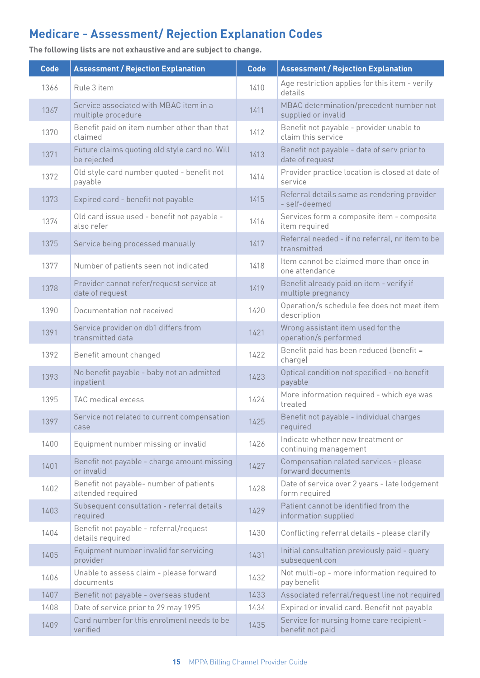| <b>Code</b> | <b>Assessment / Rejection Explanation</b>                    | <b>Code</b> | <b>Assessment / Rejection Explanation</b>                      |
|-------------|--------------------------------------------------------------|-------------|----------------------------------------------------------------|
| 1366        | Rule 3 item                                                  | 1410        | Age restriction applies for this item - verify<br>details      |
| 1367        | Service associated with MBAC item in a<br>multiple procedure | 1411        | MBAC determination/precedent number not<br>supplied or invalid |
| 1370        | Benefit paid on item number other than that<br>claimed       | 1412        | Benefit not payable - provider unable to<br>claim this service |
| 1371        | Future claims quoting old style card no. Will<br>be rejected | 1413        | Benefit not payable - date of serv prior to<br>date of request |
| 1372        | Old style card number quoted - benefit not<br>payable        | 1414        | Provider practice location is closed at date of<br>service     |
| 1373        | Expired card - benefit not payable                           | 1415        | Referral details same as rendering provider<br>- self-deemed   |
| 1374        | Old card issue used - benefit not payable -<br>also refer    | 1416        | Services form a composite item - composite<br>item required    |
| 1375        | Service being processed manually                             | 1417        | Referral needed - if no referral, nr item to be<br>transmitted |
| 1377        | Number of patients seen not indicated                        | 1418        | Item cannot be claimed more than once in<br>one attendance     |
| 1378        | Provider cannot refer/request service at<br>date of request  | 1419        | Benefit already paid on item - verify if<br>multiple pregnancy |
| 1390        | Documentation not received                                   | 1420        | Operation/s schedule fee does not meet item<br>description     |
| 1391        | Service provider on db1 differs from<br>transmitted data     | 1421        | Wrong assistant item used for the<br>operation/s performed     |
| 1392        | Benefit amount changed                                       | 1422        | Benefit paid has been reduced (benefit =<br>charge)            |
| 1393        | No benefit payable - baby not an admitted<br>inpatient       | 1423        | Optical condition not specified - no benefit<br>payable        |
| 1395        | TAC medical excess                                           | 1424        | More information required - which eye was<br>treated           |
| 1397        | Service not related to current compensation<br>case          | 1425        | Benefit not payable - individual charges<br>required           |
| 1400        | Equipment number missing or invalid                          | 1426        | Indicate whether new treatment or<br>continuing management     |
| 1401        | Benefit not payable - charge amount missing<br>or invalid    | 1427        | Compensation related services - please<br>forward documents    |
| 1402        | Benefit not payable- number of patients<br>attended required | 1428        | Date of service over 2 years - late lodgement<br>form required |
| 1403        | Subsequent consultation - referral details<br>required       | 1429        | Patient cannot be identified from the<br>information supplied  |
| 1404        | Benefit not payable - referral/request<br>details required   | 1430        | Conflicting referral details - please clarify                  |
| 1405        | Equipment number invalid for servicing<br>provider           | 1431        | Initial consultation previously paid - query<br>subsequent con |
| 1406        | Unable to assess claim - please forward<br>documents         | 1432        | Not multi-op - more information required to<br>pay benefit     |
| 1407        | Benefit not payable - overseas student                       | 1433        | Associated referral/request line not required                  |
| 1408        | Date of service prior to 29 may 1995                         | 1434        | Expired or invalid card. Benefit not payable                   |
| 1409        | Card number for this enrolment needs to be<br>verified       | 1435        | Service for nursing home care recipient -<br>benefit not paid  |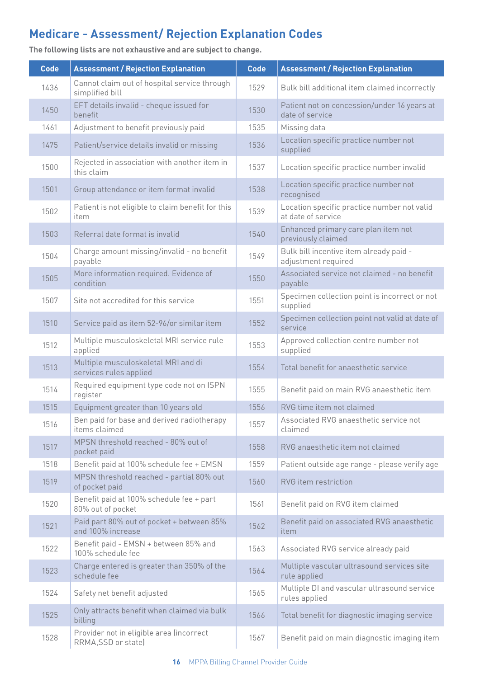| <b>Code</b> | <b>Assessment / Rejection Explanation</b>                       | <b>Code</b> | <b>Assessment / Rejection Explanation</b>                         |
|-------------|-----------------------------------------------------------------|-------------|-------------------------------------------------------------------|
| 1436        | Cannot claim out of hospital service through<br>simplified bill | 1529        | Bulk bill additional item claimed incorrectly                     |
| 1450        | EFT details invalid - cheque issued for<br>benefit              | 1530        | Patient not on concession/under 16 years at<br>date of service    |
| 1461        | Adjustment to benefit previously paid                           | 1535        | Missing data                                                      |
| 1475        | Patient/service details invalid or missing                      | 1536        | Location specific practice number not<br>supplied                 |
| 1500        | Rejected in association with another item in<br>this claim      | 1537        | Location specific practice number invalid                         |
| 1501        | Group attendance or item format invalid                         | 1538        | Location specific practice number not<br>recognised               |
| 1502        | Patient is not eligible to claim benefit for this<br>item       | 1539        | Location specific practice number not valid<br>at date of service |
| 1503        | Referral date format is invalid                                 | 1540        | Enhanced primary care plan item not<br>previously claimed         |
| 1504        | Charge amount missing/invalid - no benefit<br>payable           | 1549        | Bulk bill incentive item already paid -<br>adjustment required    |
| 1505        | More information required. Evidence of<br>condition             | 1550        | Associated service not claimed - no benefit<br>payable            |
| 1507        | Site not accredited for this service                            | 1551        | Specimen collection point is incorrect or not<br>supplied         |
| 1510        | Service paid as item 52-96/or similar item                      | 1552        | Specimen collection point not valid at date of<br>service         |
| 1512        | Multiple musculoskeletal MRI service rule<br>applied            | 1553        | Approved collection centre number not<br>supplied                 |
| 1513        | Multiple musculoskeletal MRI and di<br>services rules applied   | 1554        | Total benefit for anaesthetic service                             |
| 1514        | Required equipment type code not on ISPN<br>register            | 1555        | Benefit paid on main RVG anaesthetic item                         |
| 1515        | Equipment greater than 10 years old                             | 1556        | RVG time item not claimed                                         |
| 1516        | Ben paid for base and derived radiotherapy<br>items claimed     | 1557        | Associated RVG anaesthetic service not<br>claimed                 |
| 1517        | MPSN threshold reached - 80% out of<br>pocket paid              | 1558        | RVG anaesthetic item not claimed                                  |
| 1518        | Benefit paid at 100% schedule fee + EMSN                        | 1559        | Patient outside age range - please verify age                     |
| 1519        | MPSN threshold reached - partial 80% out<br>of pocket paid      | 1560        | RVG item restriction                                              |
| 1520        | Benefit paid at 100% schedule fee + part<br>80% out of pocket   | 1561        | Benefit paid on RVG item claimed                                  |
| 1521        | Paid part 80% out of pocket + between 85%<br>and 100% increase  | 1562        | Benefit paid on associated RVG anaesthetic<br>item                |
| 1522        | Benefit paid - EMSN + between 85% and<br>100% schedule fee      | 1563        | Associated RVG service already paid                               |
| 1523        | Charge entered is greater than 350% of the<br>schedule fee      | 1564        | Multiple vascular ultrasound services site<br>rule applied        |
| 1524        | Safety net benefit adjusted                                     | 1565        | Multiple DI and vascular ultrasound service<br>rules applied      |
| 1525        | Only attracts benefit when claimed via bulk<br>billing          | 1566        | Total benefit for diagnostic imaging service                      |
| 1528        | Provider not in eligible area (incorrect<br>RRMA, SSD or state) | 1567        | Benefit paid on main diagnostic imaging item                      |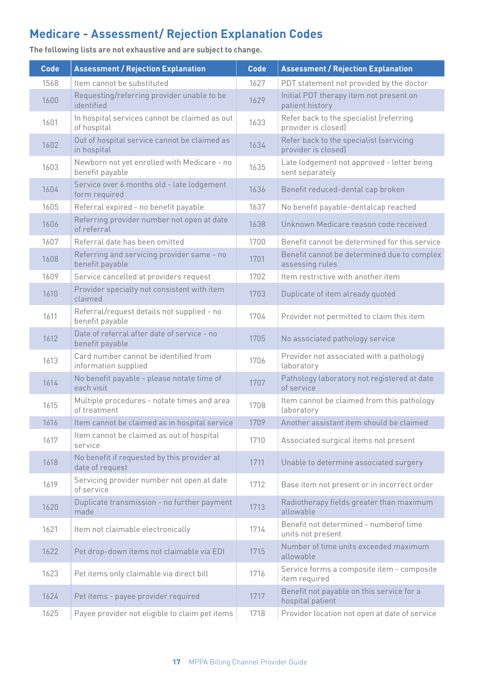**Code Assessment / Rejection Explanation Code Assessment / Rejection Explanation** 1568 Item cannot be substituted 1627 PDT statement not provided by the doctor 1600 Requesting/referring provider unable to be 1629 Initial PDT therapy item not present on<br>
patient history patient history 1601 | In hospital services cannot be claimed as out | 1633 | Refer back to the specialist (referring | 1630 | 01 provider is closed) 1602 Out of hospital service cannot be claimed as 1634 Refer back to the specialist (servicing in hospital extendion 1634 Provider is closed) provider is closed) 1603 Newborn not yet enrolled with Medicare - no<br>benefit payable 1635 Late lodgement not approved - letter being sent separately 1604 Service over 6 months old - late lodgement<br>form required 1636 Benefit reduced-dental cap broken 1605 Referral expired - no benefit payable 1637 No benefit payable-dentalcap reached 1606 Referring provider number not open at date 1638 Unknown Medicare reason code received 1607 Referral date has been omitted 1700 Benefit cannot be determined for this service 1608 Referring and servicing provider same - no<br>benefit payable 1701 Benefit cannot be determined due to complex assessing rules 1609 Service cancelled at providers request 1702 Item restrictive with another item 1610 Provider specialty not consistent with item 1703 Duplicate of item already quoted 1611 Referral/request details not supplied - no<br>benefit payable 1704 Provider not permitted to claim this item 1612 Date of referral after date of service - no<br>benefit payable 1705 No associated pathology service 1613 Card number cannot be identified from<br>information supplied  $\begin{array}{c|c} & \text{Provider not associated with a pathology} \end{array}$ laboratory  $1614$  No benefit payable - please notate time of each visit 1707 Pathology laboratory not registered at date of service 1615  $\bigcup_{\text{of treatment}}$  Multiple procedures - notate times and area 1708 Item cannot be claimed from this pathology laboratory 1616 Item cannot be claimed as in hospital service 1709 Another assistant item should be claimed 1617 | Item cannot be claimed as out of hospital<br>service 1710 Associated surgical items not present 1618 No benefit if requested by this provider at<br>date of request 1711 Unable to determine associated surgery 1619 Servicing provider number not open at date<br>of service 1712 Base item not present or in incorrect order 1620 Duplicate transmission - no further payment 1713 Radiotherapy fields greater than maximum<br>allowable allowable 1621 Item not claimable electronically 1714 Benefit not determined - numberof time units not present <sup>1622</sup> Pet drop-down items not claimable via EDI <sup>1715</sup> Number of time units exceeded maximum allowable 1623 Pet items only claimable via direct bill 1716 Service forms a composite item - composite item required 1624 Pet items - payee provider required 1717 Benefit not payable on this service for a hospital patient 1625 Payee provider not eligible to claim pet items 1718 Provider location not open at date of service